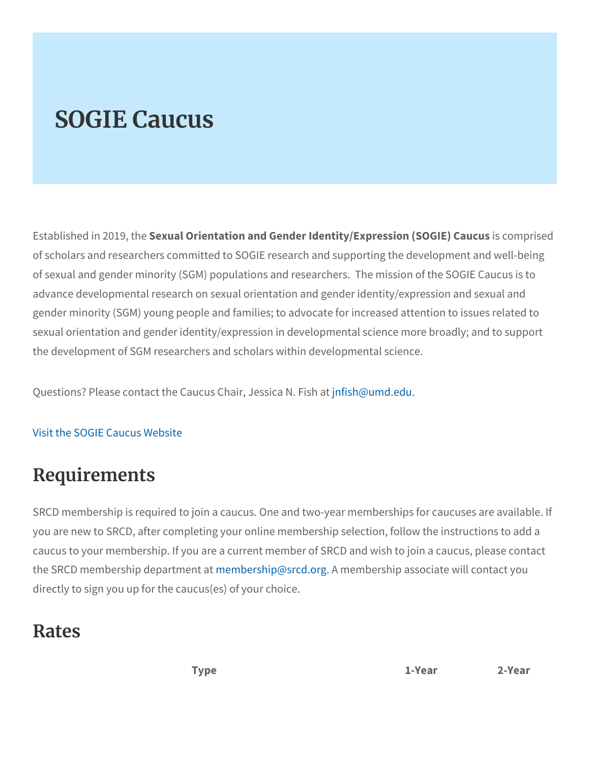## SOGIE Caucus

Established in S2e0x1u9a,ItOheientation and Gender Identity/Expsressomiopmist6 of scholars and researchers committed to SOGIE research and supp of sexual and gender minority (SGM) populations and researchers. advance developmental research on sexual orientation and gender i gender minority (SGM) young people and families; to advocate for i sexual orientation and gender identity/expression in developmental the development of SGM researchers and scholars within developme

Questions? Please contact the Caucus f Cstha @umd . sessing a N. Fish at

## [Visit the SOGIE C](https://sogiecaucus.srcd.org/)aucus Website

## Requirements

SRCD membership is required to join a caucus. One and two-year m you are new to SRCD, after completing your online membership sele caucus to your membership. If you are a current member of SRCD a the SRCD membership **rdepabret msehnip@srAcdmoemq**bership associate will c directly to sign you up for the caucus(es) of your choice.

## Rates

Type 1-Year 2-Year